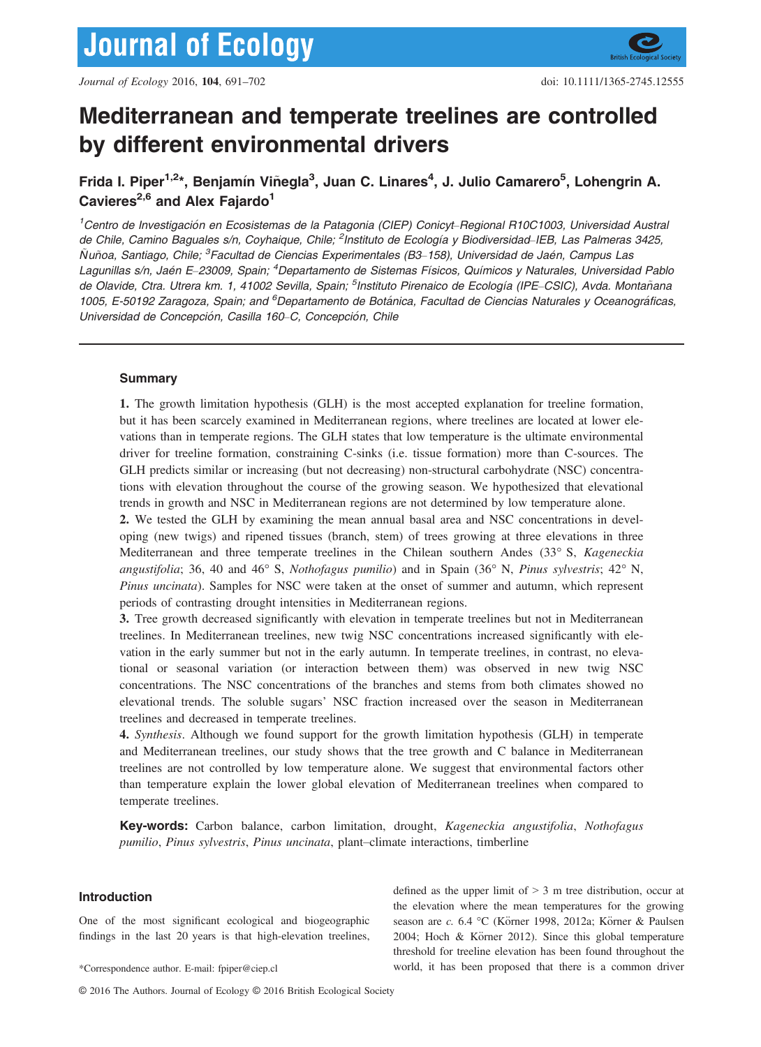# Mediterranean and temperate treelines are controlled by different environmental drivers

## Frida I. Piper<sup>1,2\*</sup>, Benjamín Viñegla<sup>3</sup>, Juan C. Linares<sup>4</sup>, J. Julio Camarero<sup>5</sup>, Lohengrin A. Cavieres<sup>2,6</sup> and Alex Fajardo<sup>1</sup>

<sup>1</sup>Centro de Investigación en Ecosistemas de la Patagonia (CIEP) Conicyt-Regional R10C1003, Universidad Austra. de Chile, Camino Baguales s/n, Coyhaique, Chile; <sup>2</sup>Instituto de Ecología y Biodiversidad–IEB, Las Palmeras 3425, Ñuñoa, Santiago, Chile; <sup>3</sup>Facultad de Ciencias Experimentales (B3–158), Universidad de Jaén, Campus Las Lagunillas s/n, Jaén E-23009, Spain; <sup>4</sup>Departamento de Sistemas Físicos, Químicos y Naturales, Universidad Pablo de Olavide, Ctra. Utrera km. 1, 41002 Sevilla, Spain; <sup>5</sup>Instituto Pirenaico de Ecología (IPE-CSIC), Avda. Montañana 1005, E-50192 Zaragoza, Spain; and <sup>6</sup>Departamento de Botánica, Facultad de Ciencias Naturales y Oceanográficas, Universidad de Concepción, Casilla 160-C, Concepción, Chile

## Summary

1. The growth limitation hypothesis (GLH) is the most accepted explanation for treeline formation, but it has been scarcely examined in Mediterranean regions, where treelines are located at lower elevations than in temperate regions. The GLH states that low temperature is the ultimate environmental driver for treeline formation, constraining C-sinks (i.e. tissue formation) more than C-sources. The GLH predicts similar or increasing (but not decreasing) non-structural carbohydrate (NSC) concentrations with elevation throughout the course of the growing season. We hypothesized that elevational trends in growth and NSC in Mediterranean regions are not determined by low temperature alone.

2. We tested the GLH by examining the mean annual basal area and NSC concentrations in developing (new twigs) and ripened tissues (branch, stem) of trees growing at three elevations in three Mediterranean and three temperate treelines in the Chilean southern Andes (33° S, Kageneckia angustifolia; 36, 40 and 46° S, Nothofagus pumilio) and in Spain (36° N, Pinus sylvestris; 42° N, Pinus uncinata). Samples for NSC were taken at the onset of summer and autumn, which represent periods of contrasting drought intensities in Mediterranean regions.

3. Tree growth decreased significantly with elevation in temperate treelines but not in Mediterranean treelines. In Mediterranean treelines, new twig NSC concentrations increased significantly with elevation in the early summer but not in the early autumn. In temperate treelines, in contrast, no elevational or seasonal variation (or interaction between them) was observed in new twig NSC concentrations. The NSC concentrations of the branches and stems from both climates showed no elevational trends. The soluble sugars' NSC fraction increased over the season in Mediterranean treelines and decreased in temperate treelines.

4. Synthesis. Although we found support for the growth limitation hypothesis (GLH) in temperate and Mediterranean treelines, our study shows that the tree growth and C balance in Mediterranean treelines are not controlled by low temperature alone. We suggest that environmental factors other than temperature explain the lower global elevation of Mediterranean treelines when compared to temperate treelines.

Key-words: Carbon balance, carbon limitation, drought, Kageneckia angustifolia, Nothofagus pumilio, Pinus sylvestris, Pinus uncinata, plant–climate interactions, timberline

## Introduction

One of the most significant ecological and biogeographic findings in the last 20 years is that high-elevation treelines,

© 2016 The Authors. Journal of Ecology © 2016 British Ecological Society

defined as the upper limit of  $> 3$  m tree distribution, occur at the elevation where the mean temperatures for the growing season are c. 6.4 °C (Körner 1998, 2012a; Körner & Paulsen 2004; Hoch & Körner 2012). Since this global temperature threshold for treeline elevation has been found throughout the \*Correspondence author. E-mail: fpiper@ciep.cl world, it has been proposed that there is a common driver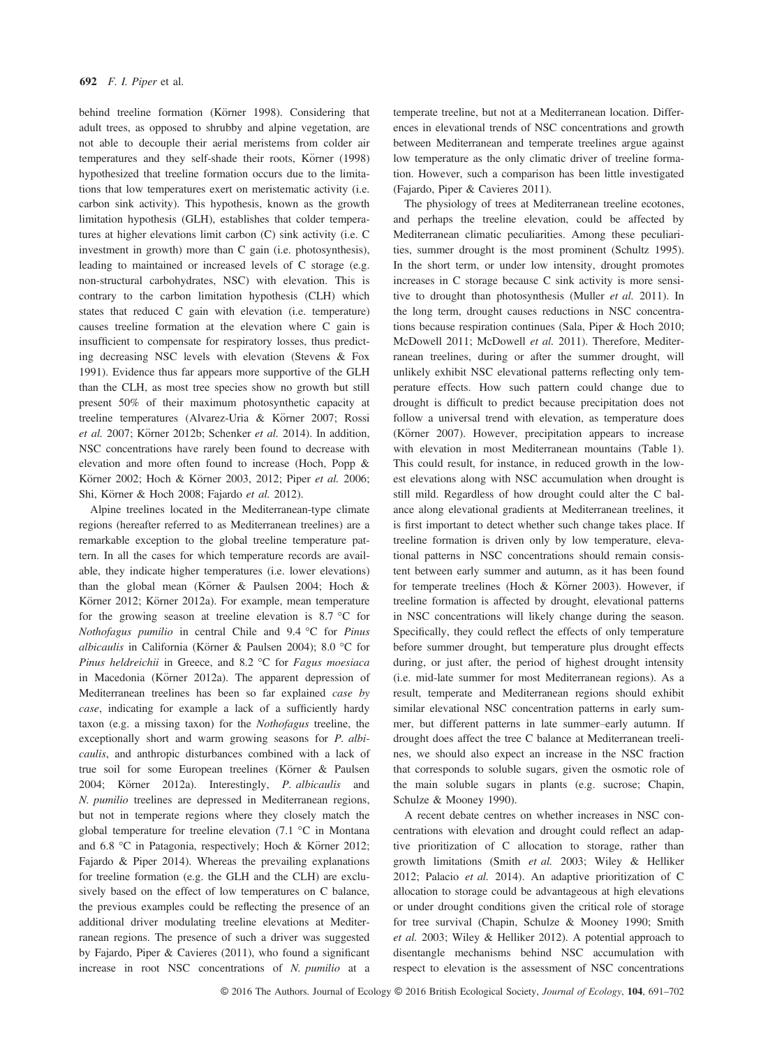behind treeline formation (Körner 1998). Considering that adult trees, as opposed to shrubby and alpine vegetation, are not able to decouple their aerial meristems from colder air temperatures and they self-shade their roots, Körner (1998) hypothesized that treeline formation occurs due to the limitations that low temperatures exert on meristematic activity (i.e. carbon sink activity). This hypothesis, known as the growth limitation hypothesis (GLH), establishes that colder temperatures at higher elevations limit carbon (C) sink activity (i.e. C investment in growth) more than C gain (i.e. photosynthesis), leading to maintained or increased levels of C storage (e.g. non-structural carbohydrates, NSC) with elevation. This is contrary to the carbon limitation hypothesis (CLH) which states that reduced C gain with elevation (i.e. temperature) causes treeline formation at the elevation where C gain is insufficient to compensate for respiratory losses, thus predicting decreasing NSC levels with elevation (Stevens & Fox 1991). Evidence thus far appears more supportive of the GLH than the CLH, as most tree species show no growth but still present 50% of their maximum photosynthetic capacity at treeline temperatures (Alvarez-Uria & Körner 2007; Rossi et al. 2007; Körner 2012b; Schenker et al. 2014). In addition, NSC concentrations have rarely been found to decrease with elevation and more often found to increase (Hoch, Popp & Körner 2002; Hoch & Körner 2003, 2012; Piper et al. 2006; Shi, Körner & Hoch 2008; Fajardo et al. 2012).

Alpine treelines located in the Mediterranean-type climate regions (hereafter referred to as Mediterranean treelines) are a remarkable exception to the global treeline temperature pattern. In all the cases for which temperature records are available, they indicate higher temperatures (i.e. lower elevations) than the global mean (Körner & Paulsen 2004; Hoch & Körner 2012; Körner 2012a). For example, mean temperature for the growing season at treeline elevation is 8.7 °C for Nothofagus pumilio in central Chile and 9.4 °C for Pinus albicaulis in California (Körner & Paulsen 2004); 8.0 °C for Pinus heldreichii in Greece, and 8.2 °C for Fagus moesiaca in Macedonia (Körner 2012a). The apparent depression of Mediterranean treelines has been so far explained case by case, indicating for example a lack of a sufficiently hardy taxon (e.g. a missing taxon) for the Nothofagus treeline, the exceptionally short and warm growing seasons for P. albicaulis, and anthropic disturbances combined with a lack of true soil for some European treelines (Körner & Paulsen 2004; Körner 2012a). Interestingly, P. albicaulis and N. pumilio treelines are depressed in Mediterranean regions, but not in temperate regions where they closely match the global temperature for treeline elevation (7.1 °C in Montana and 6.8 ℃ in Patagonia, respectively; Hoch & Körner 2012; Fajardo & Piper 2014). Whereas the prevailing explanations for treeline formation (e.g. the GLH and the CLH) are exclusively based on the effect of low temperatures on C balance, the previous examples could be reflecting the presence of an additional driver modulating treeline elevations at Mediterranean regions. The presence of such a driver was suggested by Fajardo, Piper & Cavieres (2011), who found a significant increase in root NSC concentrations of N. pumilio at a

temperate treeline, but not at a Mediterranean location. Differences in elevational trends of NSC concentrations and growth between Mediterranean and temperate treelines argue against low temperature as the only climatic driver of treeline formation. However, such a comparison has been little investigated (Fajardo, Piper & Cavieres 2011).

The physiology of trees at Mediterranean treeline ecotones, and perhaps the treeline elevation, could be affected by Mediterranean climatic peculiarities. Among these peculiarities, summer drought is the most prominent (Schultz 1995). In the short term, or under low intensity, drought promotes increases in C storage because C sink activity is more sensitive to drought than photosynthesis (Muller et al. 2011). In the long term, drought causes reductions in NSC concentrations because respiration continues (Sala, Piper & Hoch 2010; McDowell 2011; McDowell et al. 2011). Therefore, Mediterranean treelines, during or after the summer drought, will unlikely exhibit NSC elevational patterns reflecting only temperature effects. How such pattern could change due to drought is difficult to predict because precipitation does not follow a universal trend with elevation, as temperature does (Körner 2007). However, precipitation appears to increase with elevation in most Mediterranean mountains (Table 1). This could result, for instance, in reduced growth in the lowest elevations along with NSC accumulation when drought is still mild. Regardless of how drought could alter the C balance along elevational gradients at Mediterranean treelines, it is first important to detect whether such change takes place. If treeline formation is driven only by low temperature, elevational patterns in NSC concentrations should remain consistent between early summer and autumn, as it has been found for temperate treelines (Hoch & Körner 2003). However, if treeline formation is affected by drought, elevational patterns in NSC concentrations will likely change during the season. Specifically, they could reflect the effects of only temperature before summer drought, but temperature plus drought effects during, or just after, the period of highest drought intensity (i.e. mid-late summer for most Mediterranean regions). As a result, temperate and Mediterranean regions should exhibit similar elevational NSC concentration patterns in early summer, but different patterns in late summer–early autumn. If drought does affect the tree C balance at Mediterranean treelines, we should also expect an increase in the NSC fraction that corresponds to soluble sugars, given the osmotic role of the main soluble sugars in plants (e.g. sucrose; Chapin, Schulze & Mooney 1990).

A recent debate centres on whether increases in NSC concentrations with elevation and drought could reflect an adaptive prioritization of C allocation to storage, rather than growth limitations (Smith et al. 2003; Wiley & Helliker 2012; Palacio et al. 2014). An adaptive prioritization of C allocation to storage could be advantageous at high elevations or under drought conditions given the critical role of storage for tree survival (Chapin, Schulze & Mooney 1990; Smith et al. 2003; Wiley & Helliker 2012). A potential approach to disentangle mechanisms behind NSC accumulation with respect to elevation is the assessment of NSC concentrations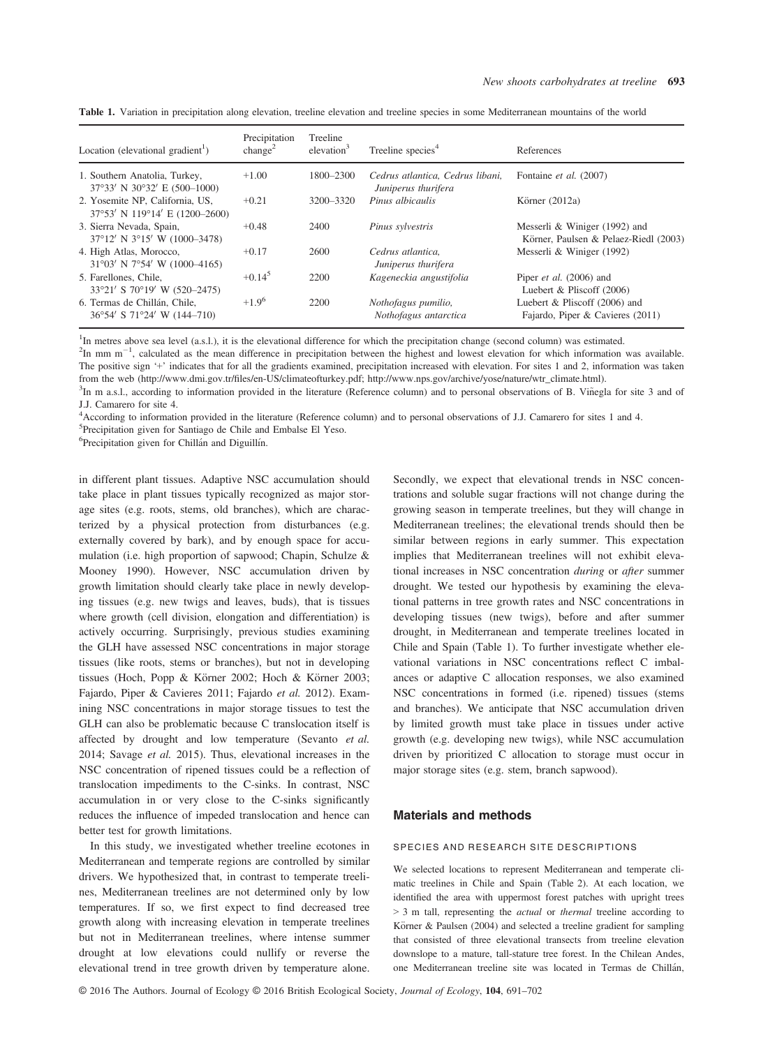| Location (elevational gradient <sup>1</sup> )                                   | Precipitation<br>change <sup>2</sup> | Treeline<br>elevation $3$ | Treeline species <sup>4</sup>                           | References                                                             |
|---------------------------------------------------------------------------------|--------------------------------------|---------------------------|---------------------------------------------------------|------------------------------------------------------------------------|
| 1. Southern Anatolia, Turkey,<br>$37^{\circ}33'$ N $30^{\circ}32'$ E (500-1000) | $+1.00$                              | 1800–2300                 | Cedrus atlantica. Cedrus libani.<br>Juniperus thurifera | Fontaine et al. (2007)                                                 |
| 2. Yosemite NP, California, US.<br>$37^{\circ}53'$ N 119°14' E (1200–2600)      | $+0.21$                              | 3200-3320                 | Pinus albicaulis                                        | Körner $(2012a)$                                                       |
| 3. Sierra Nevada, Spain,<br>37°12′ N 3°15′ W (1000–3478)                        | $+0.48$                              | 2400                      | Pinus sylvestris                                        | Messerli & Winiger (1992) and<br>Körner, Paulsen & Pelaez-Riedl (2003) |
| 4. High Atlas, Morocco,<br>$31^{\circ}03'$ N 7°54' W (1000-4165)                | $+0.17$                              | 2600                      | Cedrus atlantica.<br>Juniperus thurifera                | Messerli & Winiger (1992)                                              |
| 5. Farellones, Chile,<br>33°21′ S 70°19′ W (520–2475)                           | $+0.14^{5}$                          | 2200                      | Kageneckia angustifolia                                 | Piper et al. (2006) and<br>Luebert & Pliscoff $(2006)$                 |
| 6. Termas de Chillán, Chile,<br>$36^{\circ}54'$ S $71^{\circ}24'$ W $(144-710)$ | $+1.9^{6}$                           | 2200                      | Nothofagus pumilio,<br>Nothofagus antarctica            | Luebert & Pliscoff (2006) and<br>Fajardo, Piper & Cavieres (2011)      |

Table 1. Variation in precipitation along elevation, treeline elevation and treeline species in some Mediterranean mountains of the world

<sup>1</sup>In metres above sea level (a.s.l.), it is the elevational difference for which the precipitation change (second column) was estimated.

 $2$ In mm m<sup>-1</sup>, calculated as the mean difference in precipitation between the highest and lowest elevation for which information was available. The positive sign '+' indicates that for all the gradients examined, precipitation increased with elevation. For sites 1 and 2, information was taken from the web (http://www.dmi.gov.tr/fi[les/en-US/climateofturkey.pdf;](http://www.dmi.gov.tr/files/en-US/climateofturkey.pdf) [http://www.nps.gov/archive/yose/nature/wtr\\_climate.html](http://www.nps.gov/archive/yose/nature/wtr_climate.html)).

<sup>3</sup>In m a.s.l., according to information provided in the literature (Reference column) and to personal observations of B. Viñegla for site 3 and of J.J. Camarero for site 4.

4 According to information provided in the literature (Reference column) and to personal observations of J.J. Camarero for sites 1 and 4.

5 Precipitation given for Santiago de Chile and Embalse El Yeso.

<sup>6</sup>Precipitation given for Chillán and Diguillín.

in different plant tissues. Adaptive NSC accumulation should take place in plant tissues typically recognized as major storage sites (e.g. roots, stems, old branches), which are characterized by a physical protection from disturbances (e.g. externally covered by bark), and by enough space for accumulation (i.e. high proportion of sapwood; Chapin, Schulze & Mooney 1990). However, NSC accumulation driven by growth limitation should clearly take place in newly developing tissues (e.g. new twigs and leaves, buds), that is tissues where growth (cell division, elongation and differentiation) is actively occurring. Surprisingly, previous studies examining the GLH have assessed NSC concentrations in major storage tissues (like roots, stems or branches), but not in developing tissues (Hoch, Popp & Körner 2002; Hoch & Körner 2003; Fajardo, Piper & Cavieres 2011; Fajardo et al. 2012). Examining NSC concentrations in major storage tissues to test the GLH can also be problematic because C translocation itself is affected by drought and low temperature (Sevanto et al. 2014; Savage et al. 2015). Thus, elevational increases in the NSC concentration of ripened tissues could be a reflection of translocation impediments to the C-sinks. In contrast, NSC accumulation in or very close to the C-sinks significantly reduces the influence of impeded translocation and hence can better test for growth limitations.

In this study, we investigated whether treeline ecotones in Mediterranean and temperate regions are controlled by similar drivers. We hypothesized that, in contrast to temperate treelines, Mediterranean treelines are not determined only by low temperatures. If so, we first expect to find decreased tree growth along with increasing elevation in temperate treelines but not in Mediterranean treelines, where intense summer drought at low elevations could nullify or reverse the elevational trend in tree growth driven by temperature alone.

© 2016 The Authors. Journal of Ecology © 2016 British Ecological Society, Journal of Ecology, 104, 691–<sup>702</sup>

Secondly, we expect that elevational trends in NSC concentrations and soluble sugar fractions will not change during the growing season in temperate treelines, but they will change in Mediterranean treelines; the elevational trends should then be similar between regions in early summer. This expectation implies that Mediterranean treelines will not exhibit elevational increases in NSC concentration during or after summer drought. We tested our hypothesis by examining the elevational patterns in tree growth rates and NSC concentrations in developing tissues (new twigs), before and after summer drought, in Mediterranean and temperate treelines located in Chile and Spain (Table 1). To further investigate whether elevational variations in NSC concentrations reflect C imbalances or adaptive C allocation responses, we also examined NSC concentrations in formed (i.e. ripened) tissues (stems and branches). We anticipate that NSC accumulation driven by limited growth must take place in tissues under active growth (e.g. developing new twigs), while NSC accumulation driven by prioritized C allocation to storage must occur in major storage sites (e.g. stem, branch sapwood).

#### Materials and methods

#### SPECIES AND RESEARCH SITE DESCRIPTIONS

We selected locations to represent Mediterranean and temperate climatic treelines in Chile and Spain (Table 2). At each location, we identified the area with uppermost forest patches with upright trees > 3 m tall, representing the actual or thermal treeline according to Körner & Paulsen (2004) and selected a treeline gradient for sampling that consisted of three elevational transects from treeline elevation downslope to a mature, tall-stature tree forest. In the Chilean Andes, one Mediterranean treeline site was located in Termas de Chillan,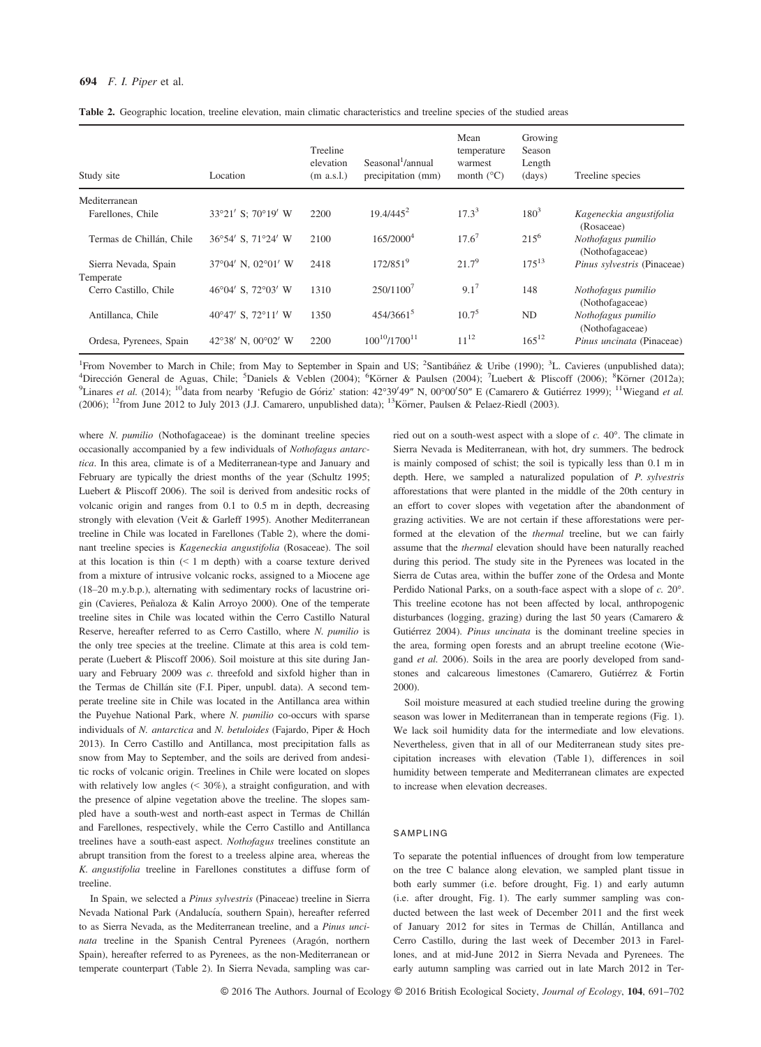| Study site                        | Location           | Treeline<br>elevation<br>$(m$ a.s.l.) | Seasonal '/annual<br>precipitation (mm) | Mean<br>temperature<br>warmest<br>month $(^{\circ}C)$ | Growing<br>Season<br>Length<br>(days) | Treeline species                      |
|-----------------------------------|--------------------|---------------------------------------|-----------------------------------------|-------------------------------------------------------|---------------------------------------|---------------------------------------|
| Mediterranean                     |                    |                                       |                                         |                                                       |                                       |                                       |
| Farellones, Chile                 | 33°21' S: 70°19' W | 2200                                  | $19.4/445^2$                            | $17.3^3$                                              | $180^{3}$                             | Kageneckia angustifolia<br>(Rosaceae) |
| Termas de Chillán, Chile          | 36°54' S, 71°24' W | 2100                                  | 165/2000 <sup>4</sup>                   | $17.6^7$                                              | $215^{6}$                             | Nothofagus pumilio<br>(Nothofagaceae) |
| Sierra Nevada, Spain<br>Temperate | 37°04′ N, 02°01′ W | 2418                                  | 172/851 <sup>9</sup>                    | $21.7^9$                                              | $175^{13}$                            | Pinus sylvestris (Pinaceae)           |
| Cerro Castillo, Chile             | 46°04′ S, 72°03′ W | 1310                                  | 250/1100 <sup>7</sup>                   | $9.1^7$                                               | 148                                   | Nothofagus pumilio<br>(Nothofagaceae) |
| Antillanca, Chile                 | 40°47′ S, 72°11′ W | 1350                                  | 454/3661 <sup>5</sup>                   | $10.7^{5}$                                            | ND                                    | Nothofagus pumilio<br>(Nothofagaceae) |
| Ordesa, Pyrenees, Spain           | 42°38' N. 00°02' W | 2200                                  | $100^{10}/1700^{11}$                    | $11^{12}$                                             | $165^{12}$                            | Pinus uncinata (Pinaceae)             |

Table 2. Geographic location, treeline elevation, main climatic characteristics and treeline species of the studied areas

<sup>1</sup> From November to March in Chile; from May to September in Spain and US; <sup>2</sup>Santibáñez & Uribe (1990); <sup>3</sup>L. Cavieres (unpublished data); <sup>4</sup>Dirección General de Aguas, Chile: <sup>5</sup>Daniels & Veblen (2004); <sup>6</sup>Körner (200 Dirección General de Aguas, Chile; <sup>5</sup>Daniels & Veblen (2004); <sup>6</sup>Körner & Paulsen (2004); <sup>7</sup>Luebert & Pliscoff (2006); <sup>8</sup>Körner (2012a); <sup>9</sup>Linares et al. (2014); <sup>10</sup>data from nearby 'Refugio de Góriz' station: 42°39'49" N, 00°00'50" E (Camarero & Gutiérrez 1999); <sup>11</sup>Wiegand et al. (2006);  $12$ from June 2012 to July 2013 (J.J. Camarero, unpublished data);  $13$ Körner, Paulsen & Pelaez-Riedl (2003).

where *N. pumilio* (Nothofagaceae) is the dominant treeline species occasionally accompanied by a few individuals of Nothofagus antarctica. In this area, climate is of a Mediterranean-type and January and February are typically the driest months of the year (Schultz 1995; Luebert & Pliscoff 2006). The soil is derived from andesitic rocks of volcanic origin and ranges from 0.1 to 0.5 m in depth, decreasing strongly with elevation (Veit & Garleff 1995). Another Mediterranean treeline in Chile was located in Farellones (Table 2), where the dominant treeline species is Kageneckia angustifolia (Rosaceae). The soil at this location is thin (< 1 m depth) with a coarse texture derived from a mixture of intrusive volcanic rocks, assigned to a Miocene age (18–20 m.y.b.p.), alternating with sedimentary rocks of lacustrine origin (Cavieres, Peñaloza & Kalin Arroyo 2000). One of the temperate treeline sites in Chile was located within the Cerro Castillo Natural Reserve, hereafter referred to as Cerro Castillo, where N. pumilio is the only tree species at the treeline. Climate at this area is cold temperate (Luebert & Pliscoff 2006). Soil moisture at this site during January and February 2009 was c. threefold and sixfold higher than in the Termas de Chillán site (F.I. Piper, unpubl. data). A second temperate treeline site in Chile was located in the Antillanca area within the Puyehue National Park, where N. pumilio co-occurs with sparse individuals of N. antarctica and N. betuloides (Fajardo, Piper & Hoch 2013). In Cerro Castillo and Antillanca, most precipitation falls as snow from May to September, and the soils are derived from andesitic rocks of volcanic origin. Treelines in Chile were located on slopes with relatively low angles  $($   $\leq$  30%), a straight configuration, and with the presence of alpine vegetation above the treeline. The slopes sampled have a south-west and north-east aspect in Termas de Chillan and Farellones, respectively, while the Cerro Castillo and Antillanca treelines have a south-east aspect. Nothofagus treelines constitute an abrupt transition from the forest to a treeless alpine area, whereas the K. angustifolia treeline in Farellones constitutes a diffuse form of treeline.

In Spain, we selected a Pinus sylvestris (Pinaceae) treeline in Sierra Nevada National Park (Andalucía, southern Spain), hereafter referred to as Sierra Nevada, as the Mediterranean treeline, and a Pinus uncinata treeline in the Spanish Central Pyrenees (Aragón, northern Spain), hereafter referred to as Pyrenees, as the non-Mediterranean or temperate counterpart (Table 2). In Sierra Nevada, sampling was carried out on a south-west aspect with a slope of c. 40°. The climate in Sierra Nevada is Mediterranean, with hot, dry summers. The bedrock is mainly composed of schist; the soil is typically less than 0.1 m in depth. Here, we sampled a naturalized population of P. sylvestris afforestations that were planted in the middle of the 20th century in an effort to cover slopes with vegetation after the abandonment of grazing activities. We are not certain if these afforestations were performed at the elevation of the thermal treeline, but we can fairly assume that the thermal elevation should have been naturally reached during this period. The study site in the Pyrenees was located in the Sierra de Cutas area, within the buffer zone of the Ordesa and Monte Perdido National Parks, on a south-face aspect with a slope of c. 20°. This treeline ecotone has not been affected by local, anthropogenic disturbances (logging, grazing) during the last 50 years (Camarero & Gutiérrez 2004). Pinus uncinata is the dominant treeline species in the area, forming open forests and an abrupt treeline ecotone (Wiegand et al. 2006). Soils in the area are poorly developed from sandstones and calcareous limestones (Camarero, Gutiérrez & Fortin 2000).

Soil moisture measured at each studied treeline during the growing season was lower in Mediterranean than in temperate regions (Fig. 1). We lack soil humidity data for the intermediate and low elevations. Nevertheless, given that in all of our Mediterranean study sites precipitation increases with elevation (Table 1), differences in soil humidity between temperate and Mediterranean climates are expected to increase when elevation decreases.

#### SAMPLING

To separate the potential influences of drought from low temperature on the tree C balance along elevation, we sampled plant tissue in both early summer (i.e. before drought, Fig. 1) and early autumn (i.e. after drought, Fig. 1). The early summer sampling was conducted between the last week of December 2011 and the first week of January 2012 for sites in Termas de Chillan, Antillanca and Cerro Castillo, during the last week of December 2013 in Farellones, and at mid-June 2012 in Sierra Nevada and Pyrenees. The early autumn sampling was carried out in late March 2012 in Ter-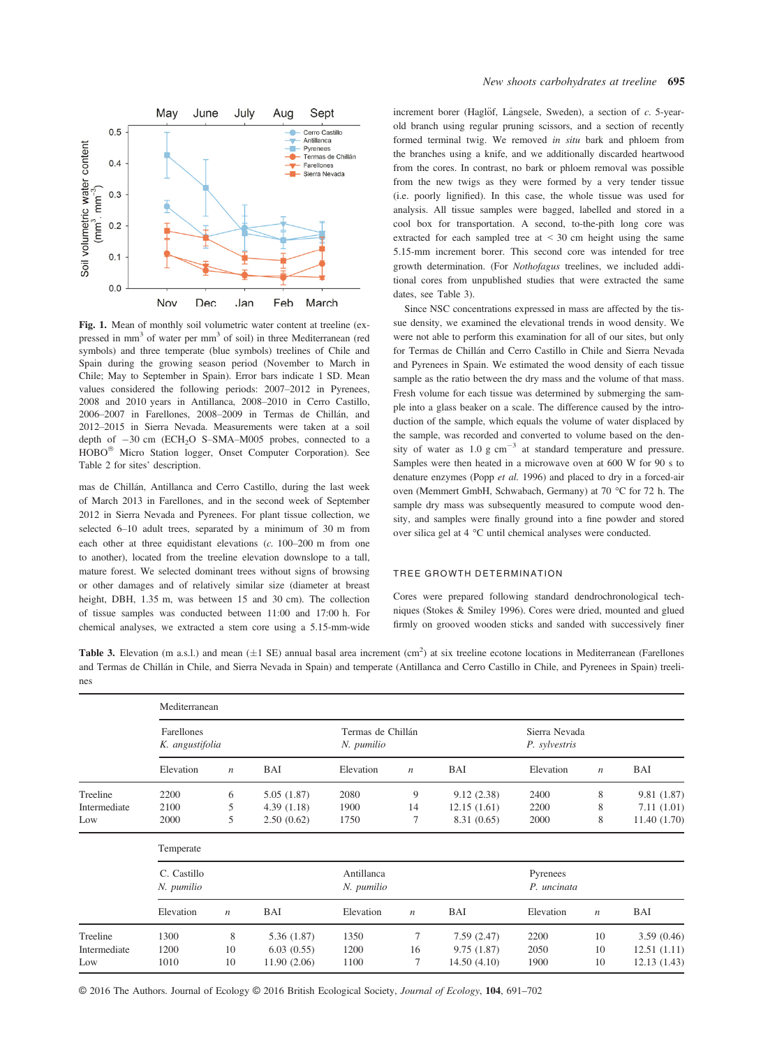

Fig. 1. Mean of monthly soil volumetric water content at treeline (ex-<br>pressed in mm<sup>3</sup> of water per mm<sup>3</sup> of soil) in three Mediterranean (red symbols) and three temperate (blue symbols) treelines of Chile and Spain during the growing season period (November to March in Chile; May to September in Spain). Error bars indicate 1 SD. Mean values considered the following periods: 2007–2012 in Pyrenees, 2008 and 2010 years in Antillanca, 2008–2010 in Cerro Castillo, 2006–2007 in Farellones, 2008–2009 in Termas de Chillan, and 2012–2015 in Sierra Nevada. Measurements were taken at a soil depth of  $-30$  cm (ECH<sub>2</sub>O S–SMA–M005 probes, connected to a HOBO<sup>®</sup> Micro Station logger, Onset Computer Corporation). See Table 2 for sites' description.

mas de Chillan, Antillanca and Cerro Castillo, during the last week of March 2013 in Farellones, and in the second week of September 2012 in Sierra Nevada and Pyrenees. For plant tissue collection, we selected 6–10 adult trees, separated by a minimum of 30 m from each other at three equidistant elevations (c. 100–200 m from one to another), located from the treeline elevation downslope to a tall, mature forest. We selected dominant trees without signs of browsing or other damages and of relatively similar size (diameter at breast height, DBH, 1.35 m, was between 15 and 30 cm). The collection of tissue samples was conducted between 11:00 and 17:00 h. For chemical analyses, we extracted a stem core using a 5.15-mm-wide increment borer (Haglöf, Långsele, Sweden), a section of  $c$ . 5-yearold branch using regular pruning scissors, and a section of recently formed terminal twig. We removed in situ bark and phloem from the branches using a knife, and we additionally discarded heartwood from the cores. In contrast, no bark or phloem removal was possible from the new twigs as they were formed by a very tender tissue (i.e. poorly lignified). In this case, the whole tissue was used for analysis. All tissue samples were bagged, labelled and stored in a cool box for transportation. A second, to-the-pith long core was extracted for each sampled tree at  $\leq$  30 cm height using the same 5.15-mm increment borer. This second core was intended for tree growth determination. (For Nothofagus treelines, we included additional cores from unpublished studies that were extracted the same dates, see Table 3).

Since NSC concentrations expressed in mass are affected by the tissue density, we examined the elevational trends in wood density. We were not able to perform this examination for all of our sites, but only for Termas de Chillan and Cerro Castillo in Chile and Sierra Nevada and Pyrenees in Spain. We estimated the wood density of each tissue sample as the ratio between the dry mass and the volume of that mass. Fresh volume for each tissue was determined by submerging the sample into a glass beaker on a scale. The difference caused by the introduction of the sample, which equals the volume of water displaced by the sample, was recorded and converted to volume based on the density of water as  $1.0 \text{ g cm}^{-3}$  at standard temperature and pressure. Samples were then heated in a microwave oven at 600 W for 90 s to denature enzymes (Popp et al. 1996) and placed to dry in a forced-air oven (Memmert GmbH, Schwabach, Germany) at 70 °C for 72 h. The sample dry mass was subsequently measured to compute wood density, and samples were finally ground into a fine powder and stored over silica gel at 4 °C until chemical analyses were conducted.

## TREE GROWTH DETERMINATION

Cores were prepared following standard dendrochronological techniques (Stokes & Smiley 1996). Cores were dried, mounted and glued firmly on grooved wooden sticks and sanded with successively finer

**Table 3.** Elevation (m a.s.l.) and mean  $(\pm 1 \text{ SE})$  annual basal area increment  $(\text{cm}^2)$  at six treeline ecotone locations in Mediterranean (Farellones and Termas de Chillan in Chile, and Sierra Nevada in Spain) and temperate (Antillanca and Cerro Castillo in Chile, and Pyrenees in Spain) treelines

|              | Mediterranean                 |                  |                          |                                 |                  |                         |                                |                  |              |
|--------------|-------------------------------|------------------|--------------------------|---------------------------------|------------------|-------------------------|--------------------------------|------------------|--------------|
|              | Farellones<br>K. angustifolia |                  |                          | Termas de Chillán<br>N. pumilio |                  |                         | Sierra Nevada<br>P. sylvestris |                  |              |
|              | Elevation                     | $\boldsymbol{n}$ | <b>BAI</b>               | Elevation                       | $\boldsymbol{n}$ | <b>BAI</b>              | Elevation                      | $\boldsymbol{n}$ | BAI          |
| Treeline     | 2200                          | 6                | 5.05(1.87)               | 2080                            | 9                | 9.12(2.38)              | 2400                           | 8                | 9.81 (1.87)  |
| Intermediate | 2100                          | 5                | 4.39(1.18)               | 1900                            | 14               | 12.15(1.61)             | 2200                           | 8                | 7.11(1.01)   |
| Low          | 2000                          | 5                | 2.50(0.62)               | 1750                            | 7                | 8.31 (0.65)             | 2000                           | 8                | 11.40 (1.70) |
|              | Temperate                     |                  |                          |                                 |                  |                         |                                |                  |              |
|              | C. Castillo<br>N. pumilio     |                  | Antillanca<br>N. pumilio |                                 |                  | Pyrenees<br>P. uncinata |                                |                  |              |
|              | Elevation                     | $\boldsymbol{n}$ | BAI                      | Elevation                       | $\boldsymbol{n}$ | BAI                     | Elevation                      | $\boldsymbol{n}$ | BAI          |
| Treeline     | 1300                          | 8                | 5.36 (1.87)              | 1350                            | 7                | 7.59(2.47)              | 2200                           | 10               | 3.59(0.46)   |
| Intermediate | 1200                          | 10               | 6.03(0.55)               | 1200                            | 16               | 9.75(1.87)              | 2050                           | 10               | 12.51(1.11)  |
| Low          | 1010                          | 10               | 11.90(2.06)              | 1100                            | $\overline{7}$   | 14.50(4.10)             | 1900                           | 10               | 12.13(1.43)  |

© 2016 The Authors. Journal of Ecology © 2016 British Ecological Society, Journal of Ecology, 104, 691–<sup>702</sup>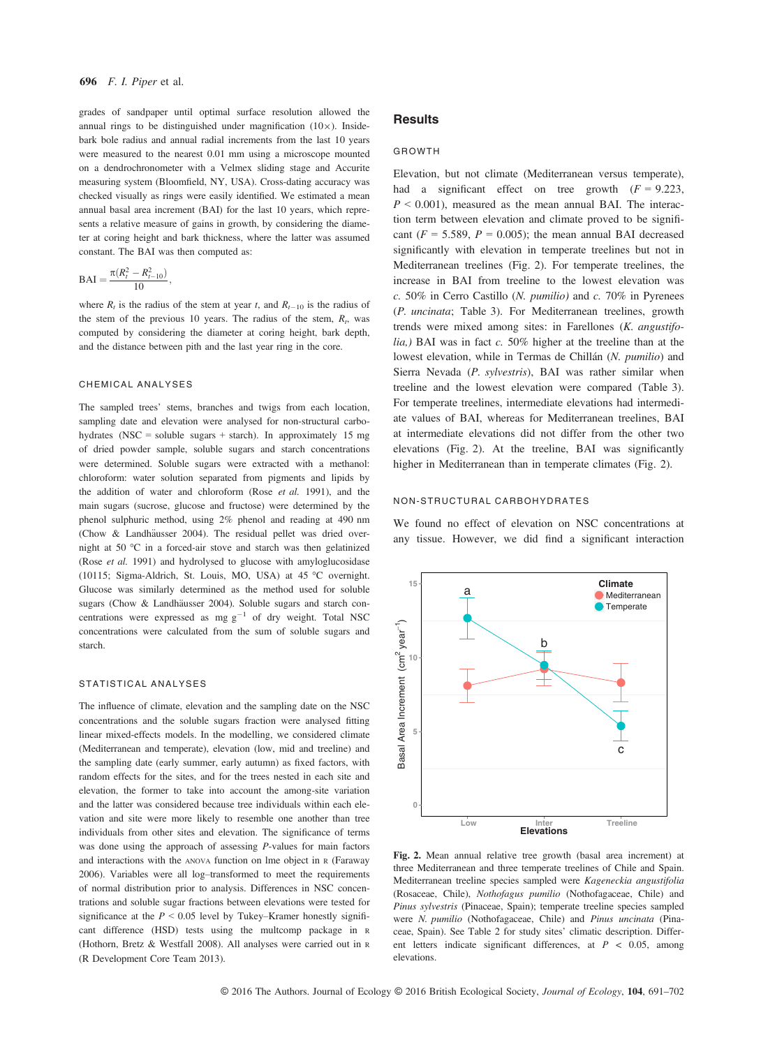grades of sandpaper until optimal surface resolution allowed the annual rings to be distinguished under magnification  $(10\times)$ . Insidebark bole radius and annual radial increments from the last 10 years were measured to the nearest 0.01 mm using a microscope mounted on a dendrochronometer with a Velmex sliding stage and Accurite measuring system (Bloomfield, NY, USA). Cross-dating accuracy was checked visually as rings were easily identified. We estimated a mean annual basal area increment (BAI) for the last 10 years, which represents a relative measure of gains in growth, by considering the diameter at coring height and bark thickness, where the latter was assumed constant. The BAI was then computed as:

$$
BAI = \frac{\pi (R_t^2 - R_{t-10}^2)}{10},
$$

where  $R_t$  is the radius of the stem at year t, and  $R_{t-10}$  is the radius of the stem of the previous 10 years. The radius of the stem,  $R_t$ , was computed by considering the diameter at coring height, bark depth, and the distance between pith and the last year ring in the core.

#### CHEMICAL ANALYSES

The sampled trees' stems, branches and twigs from each location, sampling date and elevation were analysed for non-structural carbohydrates (NSC = soluble sugars + starch). In approximately 15 mg of dried powder sample, soluble sugars and starch concentrations were determined. Soluble sugars were extracted with a methanol: chloroform: water solution separated from pigments and lipids by the addition of water and chloroform (Rose et al. 1991), and the main sugars (sucrose, glucose and fructose) were determined by the phenol sulphuric method, using 2% phenol and reading at 490 nm (Chow & Landhäusser 2004). The residual pellet was dried overnight at 50 °C in a forced-air stove and starch was then gelatinized (Rose et al. 1991) and hydrolysed to glucose with amyloglucosidase (10115; Sigma-Aldrich, St. Louis, MO, USA) at 45 °C overnight. Glucose was similarly determined as the method used for soluble sugars (Chow & Landhäusser 2004). Soluble sugars and starch concentrations were expressed as mg  $g^{-1}$  of dry weight. Total NSC concentrations were calculated from the sum of soluble sugars and starch.

#### STATISTICAL ANALYSES

The influence of climate, elevation and the sampling date on the NSC concentrations and the soluble sugars fraction were analysed fitting linear mixed-effects models. In the modelling, we considered climate (Mediterranean and temperate), elevation (low, mid and treeline) and the sampling date (early summer, early autumn) as fixed factors, with random effects for the sites, and for the trees nested in each site and elevation, the former to take into account the among-site variation and the latter was considered because tree individuals within each elevation and site were more likely to resemble one another than tree individuals from other sites and elevation. The significance of terms was done using the approach of assessing P-values for main factors and interactions with the ANOVA function on lme object in <sup>R</sup> (Faraway 2006). Variables were all log–transformed to meet the requirements of normal distribution prior to analysis. Differences in NSC concentrations and soluble sugar fractions between elevations were tested for significance at the  $P < 0.05$  level by Tukey–Kramer honestly significant difference (HSD) tests using the multcomp package in <sup>R</sup> (Hothorn, Bretz & Westfall 2008). All analyses were carried out in <sup>R</sup> (R Development Core Team 2013).

## **Results**

#### GROWTH

Elevation, but not climate (Mediterranean versus temperate), had a significant effect on tree growth  $(F = 9.223,$  $P < 0.001$ ), measured as the mean annual BAI. The interaction term between elevation and climate proved to be significant ( $F = 5.589$ ,  $P = 0.005$ ); the mean annual BAI decreased significantly with elevation in temperate treelines but not in Mediterranean treelines (Fig. 2). For temperate treelines, the increase in BAI from treeline to the lowest elevation was  $c. 50\%$  in Cerro Castillo (N. pumilio) and  $c. 70\%$  in Pyrenees (P. uncinata; Table 3). For Mediterranean treelines, growth trends were mixed among sites: in Farellones (K. angustifo $lia$ ,) BAI was in fact c. 50% higher at the treeline than at the lowest elevation, while in Termas de Chillán (N. pumilio) and Sierra Nevada (P. sylvestris), BAI was rather similar when treeline and the lowest elevation were compared (Table 3). For temperate treelines, intermediate elevations had intermediate values of BAI, whereas for Mediterranean treelines, BAI at intermediate elevations did not differ from the other two elevations (Fig. 2). At the treeline, BAI was significantly higher in Mediterranean than in temperate climates (Fig. 2).

#### NON-STRUCTURAL CARBOHYDRATES

We found no effect of elevation on NSC concentrations at any tissue. However, we did find a significant interaction



Fig. 2. Mean annual relative tree growth (basal area increment) at three Mediterranean and three temperate treelines of Chile and Spain. Mediterranean treeline species sampled were Kageneckia angustifolia (Rosaceae, Chile), Nothofagus pumilio (Nothofagaceae, Chile) and Pinus sylvestris (Pinaceae, Spain); temperate treeline species sampled were N. pumilio (Nothofagaceae, Chile) and Pinus uncinata (Pinaceae, Spain). See Table 2 for study sites' climatic description. Different letters indicate significant differences, at  $P < 0.05$ , among elevations.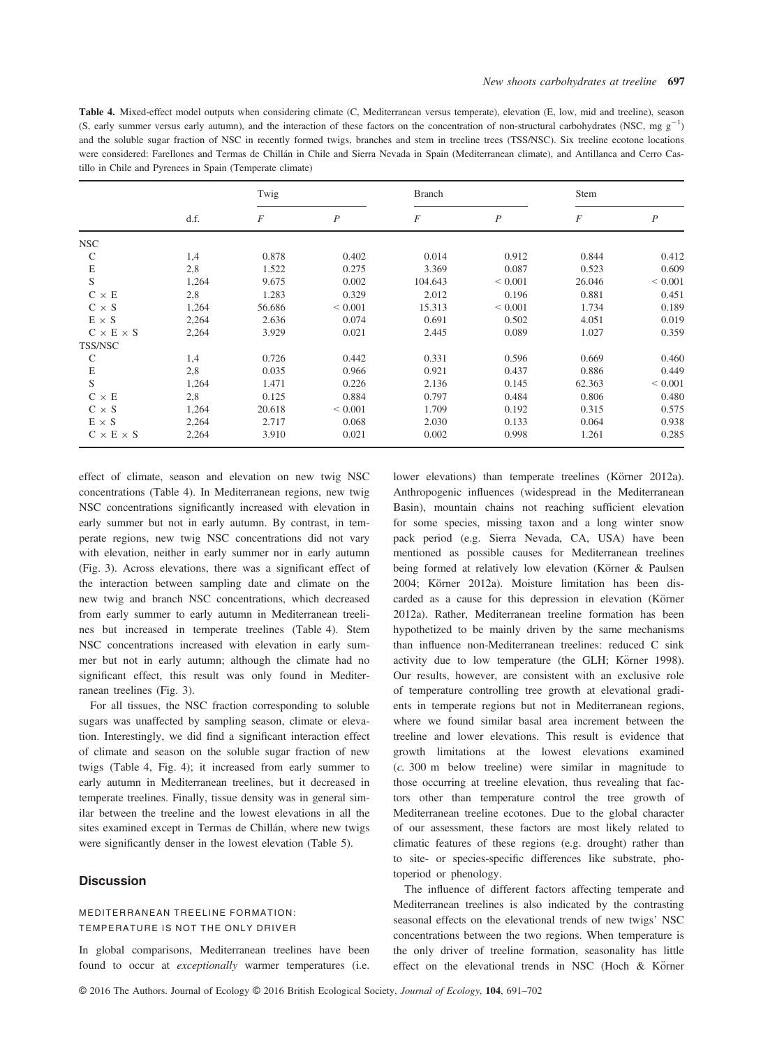Table 4. Mixed-effect model outputs when considering climate (C, Mediterranean versus temperate), elevation (E, low, mid and treeline), season (S, early summer versus early autumn), and the interaction of these factors on the concentration of non-structural carbohydrates (NSC, mg  $g^{-1}$ ) and the soluble sugar fraction of NSC in recently formed twigs, branches and stem in treeline trees (TSS/NSC). Six treeline ecotone locations were considered: Farellones and Termas de Chillan in Chile and Sierra Nevada in Spain (Mediterranean climate), and Antillanca and Cerro Castillo in Chile and Pyrenees in Spain (Temperate climate)

|                       | d.f.  | Twig   |                  | <b>Branch</b>  |                  | Stem   |                |
|-----------------------|-------|--------|------------------|----------------|------------------|--------|----------------|
|                       |       | F      | $\boldsymbol{P}$ | $\overline{F}$ | $\boldsymbol{P}$ | F      | $\overline{P}$ |
| <b>NSC</b>            |       |        |                  |                |                  |        |                |
| C                     | 1,4   | 0.878  | 0.402            | 0.014          | 0.912            | 0.844  | 0.412          |
| $\mathbf E$           | 2,8   | 1.522  | 0.275            | 3.369          | 0.087            | 0.523  | 0.609          |
| S                     | 1,264 | 9.675  | 0.002            | 104.643        | ${}< 0.001$      | 26.046 | ${}< 0.001$    |
| $C \times E$          | 2,8   | 1.283  | 0.329            | 2.012          | 0.196            | 0.881  | 0.451          |
| $C \times S$          | 1,264 | 56.686 | ${}< 0.001$      | 15.313         | ${}< 0.001$      | 1.734  | 0.189          |
| $E \times S$          | 2,264 | 2.636  | 0.074            | 0.691          | 0.502            | 4.051  | 0.019          |
| $C \times E \times S$ | 2,264 | 3.929  | 0.021            | 2.445          | 0.089            | 1.027  | 0.359          |
| TSS/NSC               |       |        |                  |                |                  |        |                |
| $\mathsf{C}$          | 1,4   | 0.726  | 0.442            | 0.331          | 0.596            | 0.669  | 0.460          |
| $\mathbf E$           | 2,8   | 0.035  | 0.966            | 0.921          | 0.437            | 0.886  | 0.449          |
| S                     | 1,264 | 1.471  | 0.226            | 2.136          | 0.145            | 62.363 | ${}< 0.001$    |
| $C \times E$          | 2,8   | 0.125  | 0.884            | 0.797          | 0.484            | 0.806  | 0.480          |
| $C \times S$          | 1,264 | 20.618 | ${}< 0.001$      | 1.709          | 0.192            | 0.315  | 0.575          |
| $E \times S$          | 2,264 | 2.717  | 0.068            | 2.030          | 0.133            | 0.064  | 0.938          |
| $C \times E \times S$ | 2,264 | 3.910  | 0.021            | 0.002          | 0.998            | 1.261  | 0.285          |

effect of climate, season and elevation on new twig NSC concentrations (Table 4). In Mediterranean regions, new twig NSC concentrations significantly increased with elevation in early summer but not in early autumn. By contrast, in temperate regions, new twig NSC concentrations did not vary with elevation, neither in early summer nor in early autumn (Fig. 3). Across elevations, there was a significant effect of the interaction between sampling date and climate on the new twig and branch NSC concentrations, which decreased from early summer to early autumn in Mediterranean treelines but increased in temperate treelines (Table 4). Stem NSC concentrations increased with elevation in early summer but not in early autumn; although the climate had no significant effect, this result was only found in Mediterranean treelines (Fig. 3).

For all tissues, the NSC fraction corresponding to soluble sugars was unaffected by sampling season, climate or elevation. Interestingly, we did find a significant interaction effect of climate and season on the soluble sugar fraction of new twigs (Table 4, Fig. 4); it increased from early summer to early autumn in Mediterranean treelines, but it decreased in temperate treelines. Finally, tissue density was in general similar between the treeline and the lowest elevations in all the sites examined except in Termas de Chillán, where new twigs were significantly denser in the lowest elevation (Table 5).

## **Discussion**

## MEDITERRANEAN TREELINE FORMATION: TEMPERATURE IS NOT THE ONLY DRIVER

In global comparisons, Mediterranean treelines have been found to occur at exceptionally warmer temperatures (i.e.

lower elevations) than temperate treelines (Körner 2012a). Anthropogenic influences (widespread in the Mediterranean Basin), mountain chains not reaching sufficient elevation for some species, missing taxon and a long winter snow pack period (e.g. Sierra Nevada, CA, USA) have been mentioned as possible causes for Mediterranean treelines being formed at relatively low elevation (Körner & Paulsen 2004; Körner 2012a). Moisture limitation has been discarded as a cause for this depression in elevation (Körner 2012a). Rather, Mediterranean treeline formation has been hypothetized to be mainly driven by the same mechanisms than influence non-Mediterranean treelines: reduced C sink activity due to low temperature (the GLH; Körner 1998). Our results, however, are consistent with an exclusive role of temperature controlling tree growth at elevational gradients in temperate regions but not in Mediterranean regions, where we found similar basal area increment between the treeline and lower elevations. This result is evidence that growth limitations at the lowest elevations examined (c. 300 m below treeline) were similar in magnitude to those occurring at treeline elevation, thus revealing that factors other than temperature control the tree growth of Mediterranean treeline ecotones. Due to the global character of our assessment, these factors are most likely related to climatic features of these regions (e.g. drought) rather than to site- or species-specific differences like substrate, photoperiod or phenology.

The influence of different factors affecting temperate and Mediterranean treelines is also indicated by the contrasting seasonal effects on the elevational trends of new twigs' NSC concentrations between the two regions. When temperature is the only driver of treeline formation, seasonality has little effect on the elevational trends in NSC (Hoch & Körner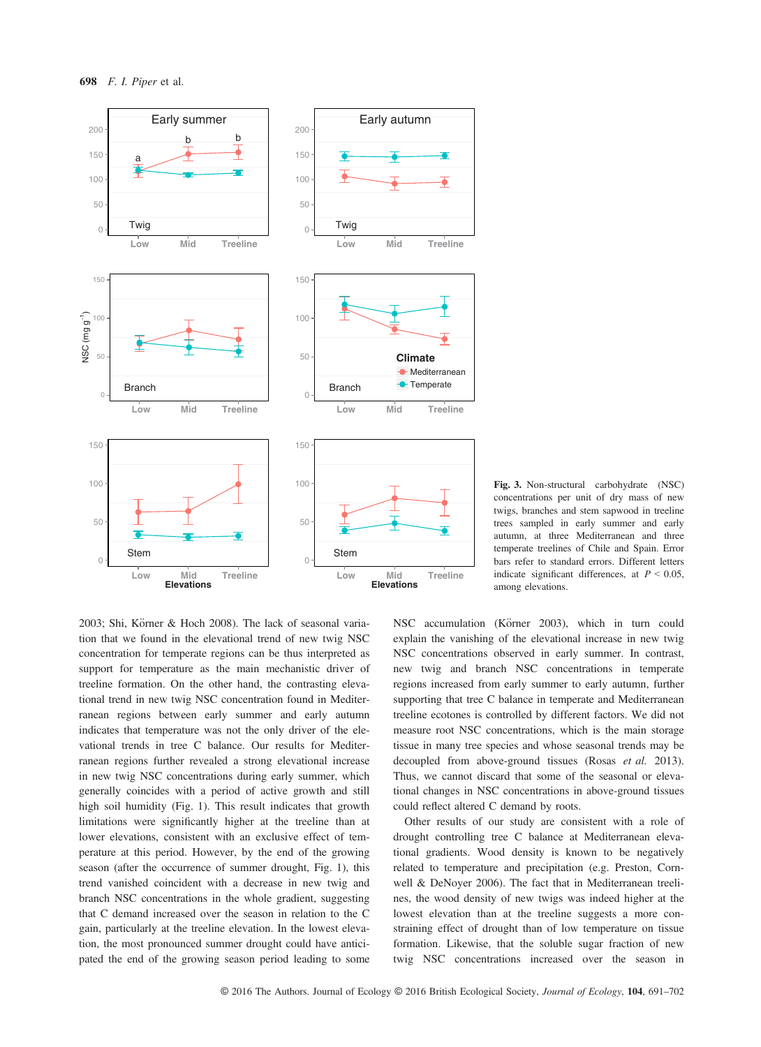

Fig. 3. Non-structural carbohydrate (NSC) concentrations per unit of dry mass of new twigs, branches and stem sapwood in treeline trees sampled in early summer and early autumn, at three Mediterranean and three temperate treelines of Chile and Spain. Error bars refer to standard errors. Different letters indicate significant differences, at  $P < 0.05$ , among elevations.

2003; Shi, Körner & Hoch 2008). The lack of seasonal variation that we found in the elevational trend of new twig NSC concentration for temperate regions can be thus interpreted as support for temperature as the main mechanistic driver of treeline formation. On the other hand, the contrasting elevational trend in new twig NSC concentration found in Mediterranean regions between early summer and early autumn indicates that temperature was not the only driver of the elevational trends in tree C balance. Our results for Mediterranean regions further revealed a strong elevational increase in new twig NSC concentrations during early summer, which generally coincides with a period of active growth and still high soil humidity (Fig. 1). This result indicates that growth limitations were significantly higher at the treeline than at lower elevations, consistent with an exclusive effect of temperature at this period. However, by the end of the growing season (after the occurrence of summer drought, Fig. 1), this trend vanished coincident with a decrease in new twig and branch NSC concentrations in the whole gradient, suggesting that C demand increased over the season in relation to the C gain, particularly at the treeline elevation. In the lowest elevation, the most pronounced summer drought could have anticipated the end of the growing season period leading to some NSC accumulation (Körner 2003), which in turn could explain the vanishing of the elevational increase in new twig NSC concentrations observed in early summer. In contrast, new twig and branch NSC concentrations in temperate regions increased from early summer to early autumn, further supporting that tree C balance in temperate and Mediterranean treeline ecotones is controlled by different factors. We did not measure root NSC concentrations, which is the main storage tissue in many tree species and whose seasonal trends may be decoupled from above-ground tissues (Rosas et al. 2013). Thus, we cannot discard that some of the seasonal or elevational changes in NSC concentrations in above-ground tissues could reflect altered C demand by roots.

Other results of our study are consistent with a role of drought controlling tree C balance at Mediterranean elevational gradients. Wood density is known to be negatively related to temperature and precipitation (e.g. Preston, Cornwell & DeNoyer 2006). The fact that in Mediterranean treelines, the wood density of new twigs was indeed higher at the lowest elevation than at the treeline suggests a more constraining effect of drought than of low temperature on tissue formation. Likewise, that the soluble sugar fraction of new twig NSC concentrations increased over the season in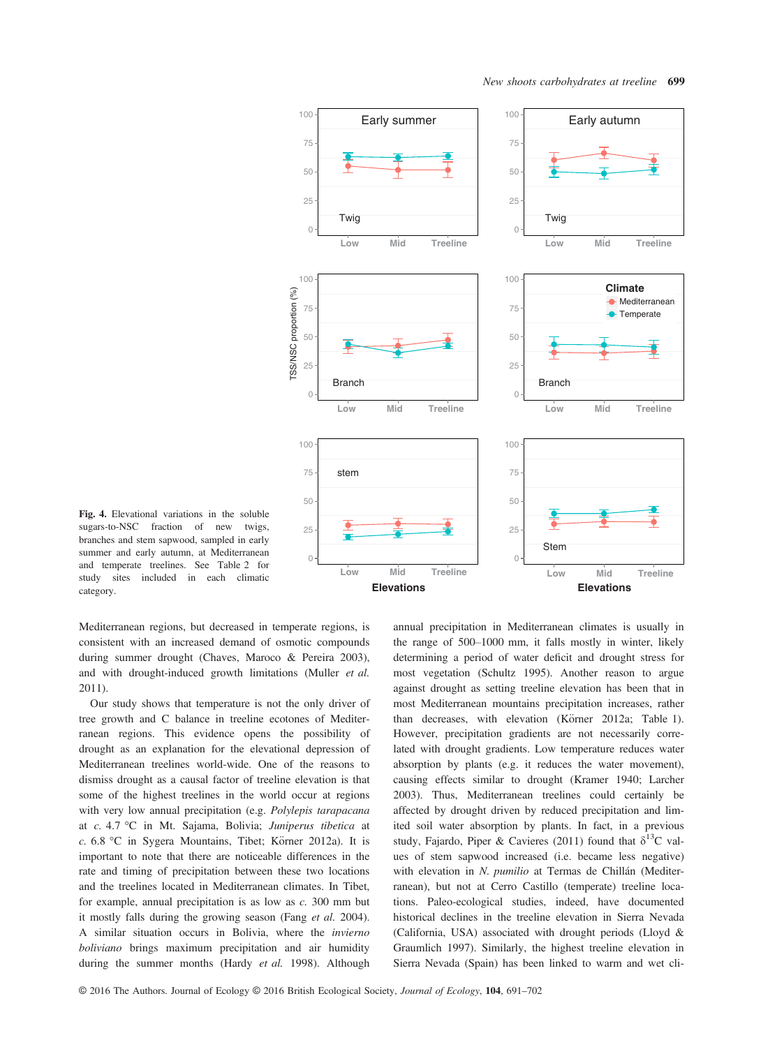

Fig. 4. Elevational variations in the soluble sugars-to-NSC fraction of new twigs, branches and stem sapwood, sampled in early summer and early autumn, at Mediterranean and temperate treelines. See Table 2 for study sites included in each climatic category.

Mediterranean regions, but decreased in temperate regions, is consistent with an increased demand of osmotic compounds during summer drought (Chaves, Maroco & Pereira 2003), and with drought-induced growth limitations (Muller et al. 2011).

Our study shows that temperature is not the only driver of tree growth and C balance in treeline ecotones of Mediterranean regions. This evidence opens the possibility of drought as an explanation for the elevational depression of Mediterranean treelines world-wide. One of the reasons to dismiss drought as a causal factor of treeline elevation is that some of the highest treelines in the world occur at regions with very low annual precipitation (e.g. Polylepis tarapacana at c. 4.7 °C in Mt. Sajama, Bolivia; Juniperus tibetica at c.  $6.8 \text{ °C}$  in Sygera Mountains, Tibet; Körner 2012a). It is important to note that there are noticeable differences in the rate and timing of precipitation between these two locations and the treelines located in Mediterranean climates. In Tibet, for example, annual precipitation is as low as c. 300 mm but it mostly falls during the growing season (Fang et al. 2004). A similar situation occurs in Bolivia, where the invierno boliviano brings maximum precipitation and air humidity during the summer months (Hardy et al. 1998). Although

annual precipitation in Mediterranean climates is usually in the range of 500–1000 mm, it falls mostly in winter, likely determining a period of water deficit and drought stress for most vegetation (Schultz 1995). Another reason to argue against drought as setting treeline elevation has been that in most Mediterranean mountains precipitation increases, rather than decreases, with elevation (Körner 2012a; Table 1). However, precipitation gradients are not necessarily correlated with drought gradients. Low temperature reduces water absorption by plants (e.g. it reduces the water movement), causing effects similar to drought (Kramer 1940; Larcher 2003). Thus, Mediterranean treelines could certainly be affected by drought driven by reduced precipitation and limited soil water absorption by plants. In fact, in a previous study, Fajardo, Piper & Cavieres (2011) found that  $\delta^{13}$ C values of stem sapwood increased (i.e. became less negative) with elevation in N. pumilio at Termas de Chillán (Mediterranean), but not at Cerro Castillo (temperate) treeline locations. Paleo-ecological studies, indeed, have documented historical declines in the treeline elevation in Sierra Nevada (California, USA) associated with drought periods (Lloyd & Graumlich 1997). Similarly, the highest treeline elevation in Sierra Nevada (Spain) has been linked to warm and wet cli-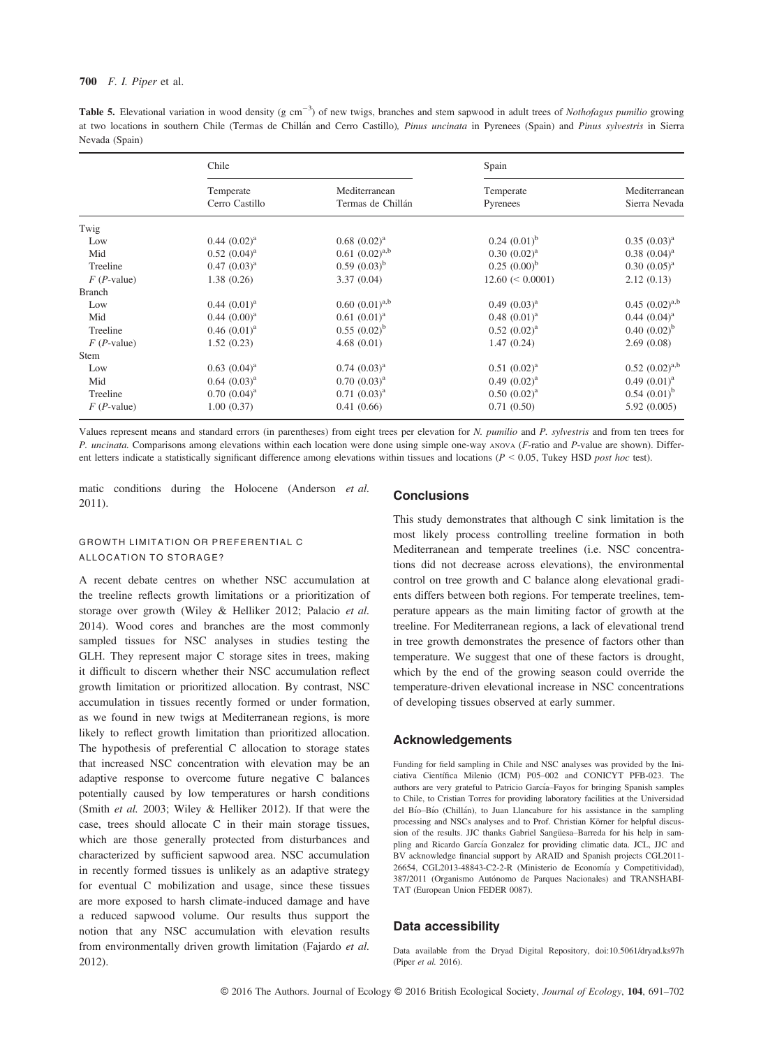#### 700 F. I. Piper et al.

**Table 5.** Elevational variation in wood density (g cm<sup>-3</sup>) of new twigs, branches and stem sapwood in adult trees of *Nothofagus pumilio* growing at two logations in southern Chile (Termas de Chillén and Cerre Costille). at two locations in southern Chile (Termas de Chillán and Cerro Castillo), Pinus uncinata in Pyrenees (Spain) and Pinus sylvestris in Sierra Nevada (Spain)

|               | Chile                       |                                    | Spain                 |                                |  |
|---------------|-----------------------------|------------------------------------|-----------------------|--------------------------------|--|
|               | Temperate<br>Cerro Castillo | Mediterranean<br>Termas de Chillán | Temperate<br>Pyrenees | Mediterranean<br>Sierra Nevada |  |
| Twig          |                             |                                    |                       |                                |  |
| Low           | $0.44~(0.02)^{a}$           | $0.68$ $(0.02)^a$                  | $0.24$ $(0.01)^{b}$   | $0.35 (0.03)^{a}$              |  |
| Mid           | $0.52$ $(0.04)^a$           | $0.61 (0.02)^{a,b}$                | $0.30~(0.02)^a$       | $0.38$ $(0.04)^a$              |  |
| Treeline      | $0.47 (0.03)^{a}$           | $0.59(0.03)^b$                     | $0.25 (0.00)^b$       | $0.30~(0.05)^{a}$              |  |
| $F(P-value)$  | 1.38(0.26)                  | 3.37(0.04)                         | $12.60 \leq 0.0001$   | 2.12(0.13)                     |  |
| <b>Branch</b> |                             |                                    |                       |                                |  |
| Low           | $0.44~(0.01)^a$             | $0.60~(0.01)^{a,b}$                | $0.49(0.03)^{a}$      | $0.45 (0.02)^{a,b}$            |  |
| Mid           | $0.44~(0.00)^a$             | $0.61 (0.01)^a$                    | $0.48~(0.01)^a$       | $0.44~(0.04)^a$                |  |
| Treeline      | $0.46~(0.01)^a$             | $0.55(0.02)^b$                     | $0.52$ $(0.02)^a$     | $0.40~(0.02)^b$                |  |
| $F(P-value)$  | 1.52(0.23)                  | 4.68(0.01)                         | 1.47(0.24)            | 2.69(0.08)                     |  |
| <b>Stem</b>   |                             |                                    |                       |                                |  |
| Low           | $0.63$ $(0.04)^a$           | $0.74$ $(0.03)^a$                  | $0.51 (0.02)^a$       | $0.52 (0.02)^{a,b}$            |  |
| Mid           | $0.64$ $(0.03)^{a}$         | $0.70~(0.03)^{a}$                  | $0.49(0.02)^{a}$      | $0.49(0.01)^a$                 |  |
| Treeline      | $0.70~(0.04)^a$             | $0.71~(0.03)^{a}$                  | $0.50~(0.02)^a$       | $0.54(0.01)^b$                 |  |
| $F(P-value)$  | 1.00(0.37)                  | 0.41(0.66)                         | 0.71(0.50)            | 5.92(0.005)                    |  |

Values represent means and standard errors (in parentheses) from eight trees per elevation for N. pumilio and P. sylvestris and from ten trees for P. uncinata. Comparisons among elevations within each location were done using simple one-way ANOVA (F-ratio and P-value are shown). Different letters indicate a statistically significant difference among elevations within tissues and locations  $(P < 0.05$ , Tukey HSD post hoc test).

matic conditions during the Holocene (Anderson et al. 2011).

## GROWTH LIMITATION OR PREFERENTIAL C ALLOCATION TO STORAGE?

A recent debate centres on whether NSC accumulation at the treeline reflects growth limitations or a prioritization of storage over growth (Wiley & Helliker 2012; Palacio et al. 2014). Wood cores and branches are the most commonly sampled tissues for NSC analyses in studies testing the GLH. They represent major C storage sites in trees, making it difficult to discern whether their NSC accumulation reflect growth limitation or prioritized allocation. By contrast, NSC accumulation in tissues recently formed or under formation, as we found in new twigs at Mediterranean regions, is more likely to reflect growth limitation than prioritized allocation. The hypothesis of preferential C allocation to storage states that increased NSC concentration with elevation may be an adaptive response to overcome future negative C balances potentially caused by low temperatures or harsh conditions (Smith et al. 2003; Wiley & Helliker 2012). If that were the case, trees should allocate C in their main storage tissues, which are those generally protected from disturbances and characterized by sufficient sapwood area. NSC accumulation in recently formed tissues is unlikely as an adaptive strategy for eventual C mobilization and usage, since these tissues are more exposed to harsh climate-induced damage and have a reduced sapwood volume. Our results thus support the notion that any NSC accumulation with elevation results from environmentally driven growth limitation (Fajardo et al. 2012).

## **Conclusions**

This study demonstrates that although C sink limitation is the most likely process controlling treeline formation in both Mediterranean and temperate treelines (i.e. NSC concentrations did not decrease across elevations), the environmental control on tree growth and C balance along elevational gradients differs between both regions. For temperate treelines, temperature appears as the main limiting factor of growth at the treeline. For Mediterranean regions, a lack of elevational trend in tree growth demonstrates the presence of factors other than temperature. We suggest that one of these factors is drought, which by the end of the growing season could override the temperature-driven elevational increase in NSC concentrations of developing tissues observed at early summer.

### Acknowledgements

Funding for field sampling in Chile and NSC analyses was provided by the Iniciativa Científica Milenio (ICM) P05-002 and CONICYT PFB-023. The authors are very grateful to Patricio García-Fayos for bringing Spanish samples to Chile, to Cristian Torres for providing laboratory facilities at the Universidad del Bío–Bío (Chillán), to Juan Llancabure for his assistance in the sampling processing and NSCs analyses and to Prof. Christian Körner for helpful discussion of the results. JJC thanks Gabriel Sangüesa-Barreda for his help in sampling and Ricardo García Gonzalez for providing climatic data. JCL, JJC and BV acknowledge financial support by ARAID and Spanish projects CGL2011- 26654, CGL2013-48843-C2-2-R (Ministerio de Economía y Competitividad), 387/2011 (Organismo Autónomo de Parques Nacionales) and TRANSHABI-TAT (European Union FEDER 0087).

#### Data accessibility

Data available from the Dryad Digital Repository, doi[:10.5061/dryad.ks97h](http://dx.doi.org/10.5061/dryad.ks97h) (Piper et al. 2016).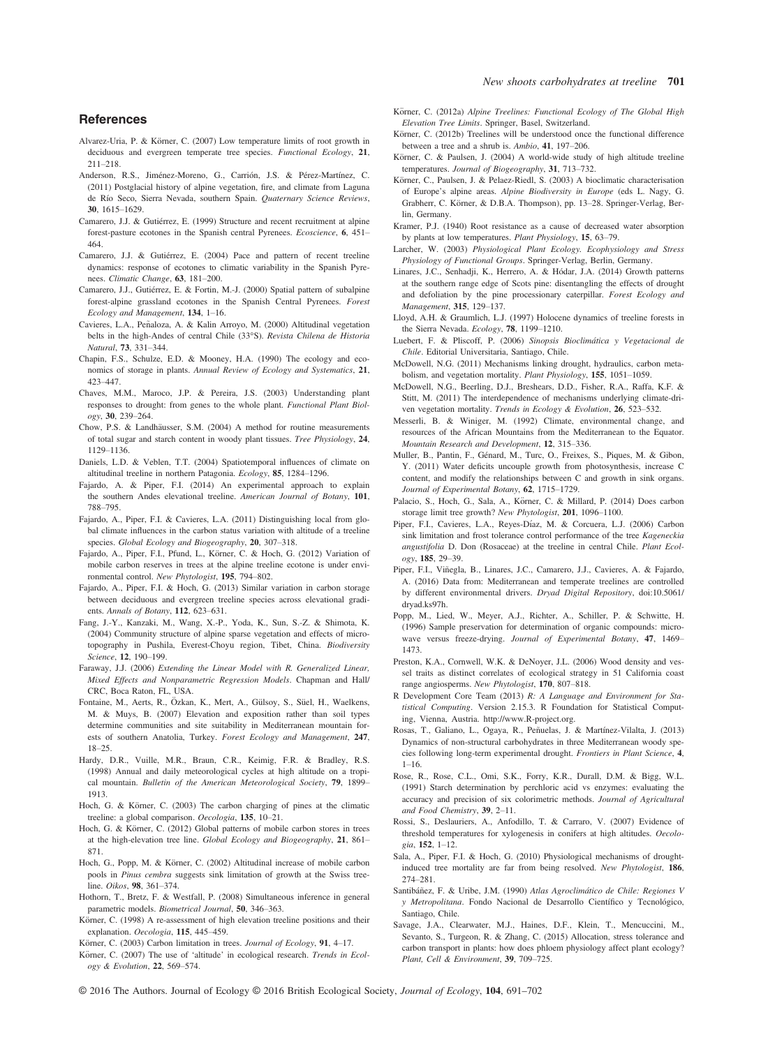#### **References**

- Alvarez-Uria, P. & Körner, C. (2007) Low temperature limits of root growth in deciduous and evergreen temperate tree species. Functional Ecology, 21, 211–218.
- Anderson, R.S., Jiménez-Moreno, G., Carrión, J.S. & Pérez-Martínez, C. (2011) Postglacial history of alpine vegetation, fire, and climate from Laguna de Río Seco, Sierra Nevada, southern Spain. Quaternary Science Reviews, 30. 1615-1629.
- 30, 1615–1629. Camarero, J.J. & Gutierrez, E. (1999) Structure and recent recruitment at alpine forest-pasture ecotones in the Spanish central Pyrenees. Ecoscience, 6, 451– 464.
- Camarero, J.J. & Gutiérrez, E. (2004) Pace and pattern of recent treeline dynamics: response of ecotones to climatic variability in the Spanish Pyrenees. Climatic Change, 63, 181–200.
- Camarero, J.J., Gutiérrez, E. & Fortin, M.-J. (2000) Spatial pattern of subalpine forest-alpine grassland ecotones in the Spanish Central Pyrenees. Forest Ecology and Management, 134, 1–16.
- Cavieres, L.A., Peñaloza, A. & Kalin Arroyo, M. (2000) Altitudinal vegetation belts in the high-Andes of central Chile (33°S). Revista Chilena de Historia Natural, 73, 331–344.
- Chapin, F.S., Schulze, E.D. & Mooney, H.A. (1990) The ecology and economics of storage in plants. Annual Review of Ecology and Systematics, 21, 423–447.
- Chaves, M.M., Maroco, J.P. & Pereira, J.S. (2003) Understanding plant responses to drought: from genes to the whole plant. Functional Plant Biology, 30, 239–264.
- Chow, P.S. & Landhäusser, S.M. (2004) A method for routine measurements of total sugar and starch content in woody plant tissues. Tree Physiology, 24, 1129–1136.
- Daniels, L.D. & Veblen, T.T. (2004) Spatiotemporal influences of climate on altitudinal treeline in northern Patagonia. Ecology, 85, 1284–1296.
- Fajardo, A. & Piper, F.I. (2014) An experimental approach to explain the southern Andes elevational treeline. American Journal of Botany, 101, 788–795.
- Fajardo, A., Piper, F.I. & Cavieres, L.A. (2011) Distinguishing local from global climate influences in the carbon status variation with altitude of a treeline species. Global Ecology and Biogeography, 20, 307–318.
- Fajardo, A., Piper, F.I., Pfund, L., Körner, C. & Hoch, G. (2012) Variation of mobile carbon reserves in trees at the alpine treeline ecotone is under environmental control. New Phytologist, 195, 794–802.
- Fajardo, A., Piper, F.I. & Hoch, G. (2013) Similar variation in carbon storage between deciduous and evergreen treeline species across elevational gradients. Annals of Botany, 112, 623–631.
- Fang, J.-Y., Kanzaki, M., Wang, X.-P., Yoda, K., Sun, S.-Z. & Shimota, K. (2004) Community structure of alpine sparse vegetation and effects of microtopography in Pushila, Everest-Choyu region, Tibet, China. Biodiversity Science, 12, 190–199.
- Faraway, J.J. (2006) Extending the Linear Model with R. Generalized Linear, Mixed Effects and Nonparametric Regression Models. Chapman and Hall/ CRC, Boca Raton, FL, USA.
- Fontaine, M., Aerts, R., Özkan, K., Mert, A., Gülsoy, S., Süel, H., Waelkens, M. & Muys, B. (2007) Elevation and exposition rather than soil types determine communities and site suitability in Mediterranean mountain forests of southern Anatolia, Turkey. Forest Ecology and Management, 247, 18–25.
- Hardy, D.R., Vuille, M.R., Braun, C.R., Keimig, F.R. & Bradley, R.S. (1998) Annual and daily meteorological cycles at high altitude on a tropical mountain. Bulletin of the American Meteorological Society, 79, 1899– 1913.
- Hoch, G. & Körner, C. (2003) The carbon charging of pines at the climatic treeline: a global comparison. Oecologia, <sup>135</sup>, 10–21.
- Hoch, G. & Körner, C. (2012) Global patterns of mobile carbon stores in trees at the high-elevation tree line. Global Ecology and Biogeography, 21, 861– 871.
- Hoch, G., Popp, M. & Körner, C. (2002) Altitudinal increase of mobile carbon pools in Pinus cembra suggests sink limitation of growth at the Swiss treeline. Oikos, 98, 361–374.
- Hothorn, T., Bretz, F. & Westfall, P. (2008) Simultaneous inference in general parametric models. Biometrical Journal, 50, 346–363.
- Körner, C. (1998) A re-assessment of high elevation treeline positions and their explanation. Oecologia, 115, 445–459.
- Körner, C. (2003) Carbon limitation in trees. Journal of Ecology, 91, 4-17.
- Körner, C. (2007) The use of 'altitude' in ecological research. Trends in Ecology & Evolution, 22, 569–574.
- Körner, C. (2012a) Alpine Treelines: Functional Ecology of The Global High Elevation Tree Limits. Springer, Basel, Switzerland.
- Körner, C. (2012b) Treelines will be understood once the functional difference between a tree and a shrub is. Ambio, 41, 197–206.
- Körner, C. & Paulsen, J. (2004) A world-wide study of high altitude treeline temperatures. Journal of Biogeography, 31, 713–732.
- Körner, C., Paulsen, J. & Pelaez-Riedl, S. (2003) A bioclimatic characterisation of Europe's alpine areas. Alpine Biodiversity in Europe (eds L. Nagy, G. Grabherr, C. Körner, & D.B.A. Thompson), pp. 13–28. Springer-Verlag, Berlin, Germany.
- Kramer, P.J. (1940) Root resistance as a cause of decreased water absorption by plants at low temperatures. Plant Physiology, 15, 63–79.
- Larcher, W. (2003) Physiological Plant Ecology. Ecophysiology and Stress Physiology of Functional Groups. Springer-Verlag, Berlin, Germany.
- Linares, J.C., Senhadji, K., Herrero, A. & Hódar, J.A. (2014) Growth patterns at the southern range edge of Scots pine: disentangling the effects of drought and defoliation by the pine processionary caterpillar. Forest Ecology and
- Management, 315, 129-137.<br>Lloyd, A.H. & Graumlich, L.J. (1997) Holocene dynamics of treeline forests in the Sierra Nevada. Ecology, 78, 1199–1210.
- Luebert, F. & Pliscoff, P. (2006) Sinopsis Bioclimatica y Vegetacional de Chile. Editorial Universitaria, Santiago, Chile.
- McDowell, N.G. (2011) Mechanisms linking drought, hydraulics, carbon metabolism, and vegetation mortality. Plant Physiology, 155, 1051–1059.
- McDowell, N.G., Beerling, D.J., Breshears, D.D., Fisher, R.A., Raffa, K.F. & Stitt, M. (2011) The interdependence of mechanisms underlying climate-driven vegetation mortality. Trends in Ecology & Evolution, 26, 523–532.
- Messerli, B. & Winiger, M. (1992) Climate, environmental change, and resources of the African Mountains from the Mediterranean to the Equator. Mountain Research and Development, 12, 315–336.
- Muller, B., Pantin, F., Genard, M., Turc, O., Freixes, S., Piques, M. & Gibon, Y. (2011) Water deficits uncouple growth from photosynthesis, increase C content, and modify the relationships between C and growth in sink organs. Journal of Experimental Botany, 62, 1715–1729.
- Palacio, S., Hoch, G., Sala, A., Körner, C. & Millard, P. (2014) Does carbon storage limit tree growth? New Phytologist, 201, 1096–1100.
- Piper, F.I., Cavieres, L.A., Reyes-Díaz, M. & Corcuera, L.J. (2006) Carbon sink limitation and frost tolerance control performance of the tree Kageneckia angustifolia D. Don (Rosaceae) at the treeline in central Chile. Plant Ecology, 185, 29–39.
- Piper, F.I., Viñegla, B., Linares, J.C., Camarero, J.J., Cavieres, A. & Fajardo, A. (2016) Data from: Mediterranean and temperate treelines are controlled by different environmental drivers. Dryad Digital Repository, doi:[10.5061/](http://dx.doi.org/10.5061/dryad.ks97h) [dryad.ks97h.](http://dx.doi.org/10.5061/dryad.ks97h)
- Popp, M., Lied, W., Meyer, A.J., Richter, A., Schiller, P. & Schwitte, H. (1996) Sample preservation for determination of organic compounds: microwave versus freeze-drying. Journal of Experimental Botany, 47, 1469– 1473.
- Preston, K.A., Cornwell, W.K. & DeNoyer, J.L. (2006) Wood density and vessel traits as distinct correlates of ecological strategy in 51 California coast range angiosperms. New Phytologist, 170, 807–818.
- R Development Core Team (2013) R: A Language and Environment for Statistical Computing. Version 2.15.3. R Foundation for Statistical Computing, Vienna, Austria. [http://www.R-project.org.](http://www.R-project.org)
- Rosas, T., Galiano, L., Ogaya, R., Peñuelas, J. & Martínez-Vilalta, J. (2013) Dynamics of non-structural carbohydrates in three Mediterranean woody species following long-term experimental drought. Frontiers in Plant Science, 4,  $1 - 16$ .
- Rose, R., Rose, C.L., Omi, S.K., Forry, K.R., Durall, D.M. & Bigg, W.L. (1991) Starch determination by perchloric acid vs enzymes: evaluating the accuracy and precision of six colorimetric methods. Journal of Agricultural and Food Chemistry, 39, 2–11.
- Rossi, S., Deslauriers, A., Anfodillo, T. & Carraro, V. (2007) Evidence of threshold temperatures for xylogenesis in conifers at high altitudes. Oecologia, 152, 1–12.
- Sala, A., Piper, F.I. & Hoch, G. (2010) Physiological mechanisms of droughtinduced tree mortality are far from being resolved. New Phytologist, 186, 274–281.
- Santibáñez, F. & Uribe, J.M. (1990) Atlas Agroclimático de Chile: Regiones V y Metropolitana. Fondo Nacional de Desarrollo Científico y Tecnológico, Santiago, Chile.
- Savage, J.A., Clearwater, M.J., Haines, D.F., Klein, T., Mencuccini, M., Sevanto, S., Turgeon, R. & Zhang, C. (2015) Allocation, stress tolerance and carbon transport in plants: how does phloem physiology affect plant ecology? Plant, Cell & Environment, 39, 709–725.